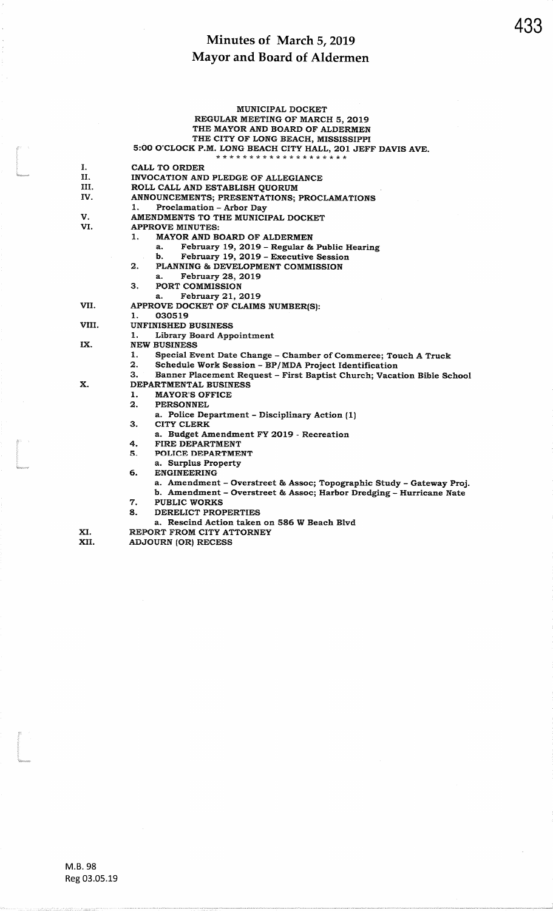|       | <b>MUNICIPAL DOCKET</b>                                                      |  |  |  |
|-------|------------------------------------------------------------------------------|--|--|--|
|       | REGULAR MEETING OF MARCH 5, 2019                                             |  |  |  |
|       | THE MAYOR AND BOARD OF ALDERMEN                                              |  |  |  |
|       | THE CITY OF LONG BEACH, MISSISSIPPI                                          |  |  |  |
|       | 5:00 O'CLOCK P.M. LONG BEACH CITY HALL, 201 JEFF DAVIS AVE.                  |  |  |  |
|       | * * * * * * * * * * * * * * * * * * * *                                      |  |  |  |
| I.    | CALL TO ORDER                                                                |  |  |  |
| П.    | INVOCATION AND PLEDGE OF ALLEGIANCE                                          |  |  |  |
| Ш.    | ROLL CALL AND ESTABLISH QUORUM                                               |  |  |  |
| IV.   | ANNOUNCEMENTS; PRESENTATIONS; PROCLAMATIONS                                  |  |  |  |
|       | Proclamation - Arbor Day<br>1.                                               |  |  |  |
| V.    | AMENDMENTS TO THE MUNICIPAL DOCKET                                           |  |  |  |
| VI.   | <b>APPROVE MINUTES:</b>                                                      |  |  |  |
|       | 1.<br>MAYOR AND BOARD OF ALDERMEN                                            |  |  |  |
|       | February 19, 2019 - Regular & Public Hearing<br>a.                           |  |  |  |
|       | February 19, 2019 - Executive Session<br>b.                                  |  |  |  |
|       | PLANNING & DEVELOPMENT COMMISSION<br>2.                                      |  |  |  |
|       | February 28, 2019<br>а.                                                      |  |  |  |
|       | З.<br><b>PORT COMMISSION</b>                                                 |  |  |  |
|       | February 21, 2019<br>a.                                                      |  |  |  |
| VII.  | APPROVE DOCKET OF CLAIMS NUMBER(S):                                          |  |  |  |
|       | 030519<br>1.                                                                 |  |  |  |
| VIII. | <b>UNFINISHED BUSINESS</b>                                                   |  |  |  |
|       | <b>Library Board Appointment</b><br>1.                                       |  |  |  |
| IX.   | <b>NEW BUSINESS</b>                                                          |  |  |  |
|       | 1.<br>Special Event Date Change - Chamber of Commerce; Touch A Truck         |  |  |  |
|       | Schedule Work Session - BP/MDA Project Identification<br>2.                  |  |  |  |
|       | Banner Placement Request - First Baptist Church; Vacation Bible School<br>З. |  |  |  |
| Х.    | DEPARTMENTAL BUSINESS                                                        |  |  |  |
|       | ı.<br><b>MAYOR'S OFFICE</b>                                                  |  |  |  |
|       | 2.<br><b>PERSONNEL</b>                                                       |  |  |  |
|       | a. Police Department - Disciplinary Action (1)                               |  |  |  |
|       | <b>CITY CLERK</b><br>З.                                                      |  |  |  |
|       | a. Budget Amendment FY 2019 - Recreation                                     |  |  |  |
|       | FIRE DEPARTMENT<br>4.                                                        |  |  |  |
|       | 5.<br>POLICE DEPARTMENT                                                      |  |  |  |
|       | a. Surplus Property                                                          |  |  |  |
|       | <b>ENGINEERING</b><br>б.                                                     |  |  |  |
|       | a. Amendment - Overstreet & Assoc; Topographic Study - Gateway Proj.         |  |  |  |
|       | b. Amendment - Overstreet & Assoc; Harbor Dredging - Hurricane Nate          |  |  |  |
|       | 7.<br><b>PUBLIC WORKS</b>                                                    |  |  |  |
|       | 8.<br>DERELICT PROPERTIES                                                    |  |  |  |
|       | a. Rescind Action taken on 586 W Beach Blyd                                  |  |  |  |
| XI.   | REPORT FROM CITY ATTORNEY                                                    |  |  |  |
| XII.  | <b>ADJOURN (OR) RECESS</b>                                                   |  |  |  |
|       |                                                                              |  |  |  |

l<br>Liberario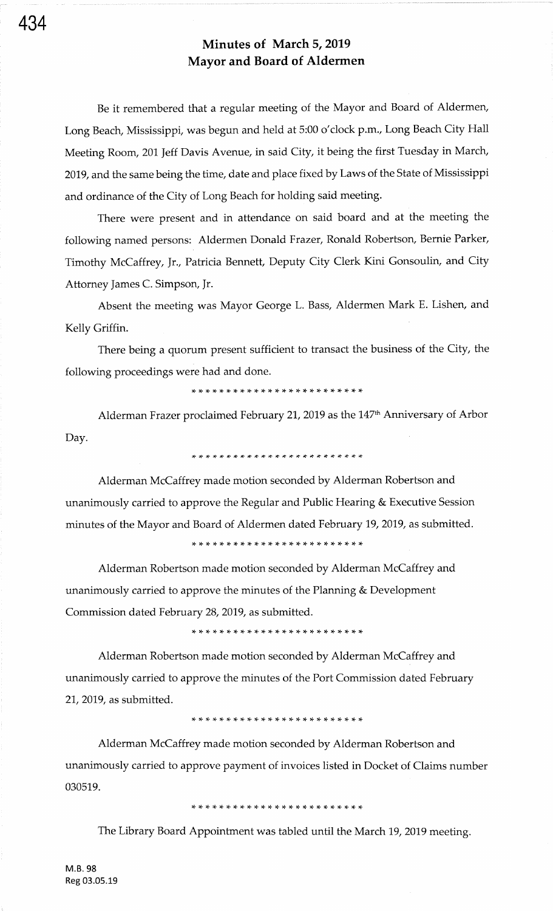Be it remembered that a regular meeting of the Mayor and Board of Aldermen, Long Beach, Mississippi, was begun and held at 5:00 o'clock p.m., Long Beach City Hall Meeting Room, 201 Jeff Davis Avenue, in said City, it being the first Tuesday in March, 2019, and the same being the time, date and place fixed by Laws of the State of Mississippi and ordinance of the City of Long Beach for holding said meeting.

There were present and in attendance on said board and at the meeting the following named persons: Aldermen Donald Frazer, Ronald Robertson, Bernie Parker, Timothy McCaffrey, Jr., Patricia Bennett, Deputy City Clerk Kini Gonsoulin, and City Attorney James C. Simpson, Jr.

Absent the meeting was Mayor George L. Bass, Aldermen Mark E. Lishen, and Kelly Griffin.

There being a quorum present sufficient to transact the business of the City, the following proceedings were had and done.

\* \* \* \* \* \* \* \* \* \* \* \* \* \* rF \* rl- \* \* \* \* rt {' )F {'

Alderman Frazer proclaimed February 21, 2019 as the 147<sup>th</sup> Anniversary of Arbor Day.

\* )F \* r\* \* \* \* rF rl- )F )F )F \* \* \* \* \* \* rl- )F )F rf \* \* \*

Alderman McCaffrey made motion seconded by Alderman Robertson and unanimously carried to approve the Regular and Public Hearing & Executive Session minutes of the Mayor and Board of Aldermen dated February 19, 2019, as submitted.

\* \* \* r\* \* \* \* \* \* )F rF rt rF rF rF rF \* \* \* \* \* \* \* {. rF

Alderman Robertson made motion seconded by Alderman McCaffrey and unanimously carried to approve the minutes of the Planning & Development Commission dated February 28,2019, as submitted.

Alderman Robertson made motion seconded by Alderman McCaffrey and unanimously carried to approve the minutes of the Port Commission dated February 21,2019, as submitted.

Alderman McCaffrey made motion seconded by Alderman Robertson and unanimously carried to approve payment of invoices listed in Docket of Claims number 030519.

rF rF rl. :{- {. \* \* \* \* \* \* rl- rF )t r+ rf rF rF {. \* \* \* \* \* \*

The Library Board Appointment was tabled until the March 19, 2019 meeting.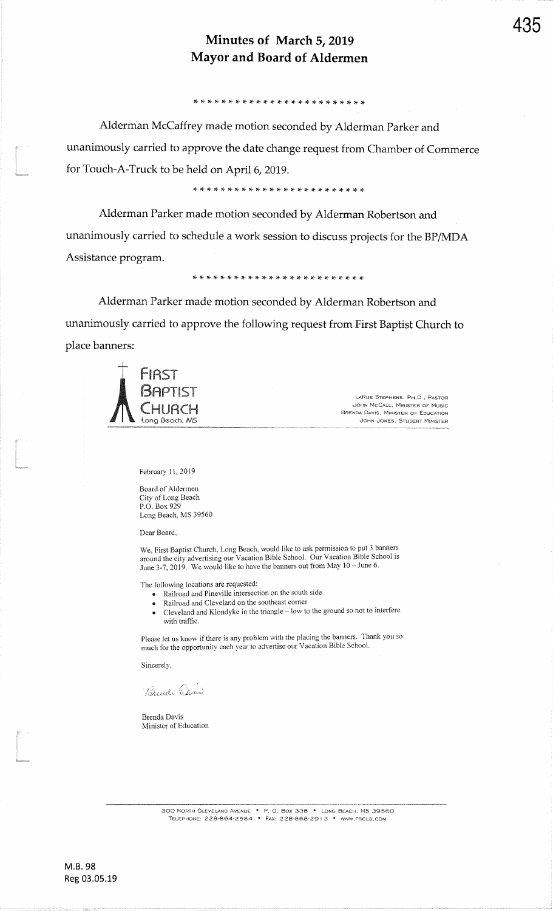,! rT \* \* rt x. {- \* \* \* rT \* \* \* rF )F \* \* rF rT rF rr rC rF rF

Alderman McCaffrey made motion seconded by Alderman Parker andunanimously carried to approve the date change request from Chamber of Commercefor Touch-A-Truck to be held on April 6,2019.

\* \* \* \* i(- )F rt \* \* rF \* \* \* \* rr )F \* \* \* \* rF )F rF rF rF

Alderman Parker made motion seconded by Alderman Robertson andunanimously carried to schedule a work session to discuss projects for the BP/MDAAssistance program.

\* \* rt tG \* \* \* \* \* :f \* rF \* \* \* \* \* rF rF rt rF \* rF \* rF

Alderman Parker made motion seconded by Alderman Robertson andunanimously carried to approve the following request from First Baptist Church toplace banners:



LARUE STEPHENS, PH.O., PAsroR JOHX MCCALL. MINISER oF MUscBrenda Davis, Minister of Education JoHN JoNEs, STUDENT MlNtsrER

February 11, 2019

Board of Aldermen City of Long BeachP,O. Box 929Long Beach, MS <sup>39560</sup>

Dear Board,

We, First Baptist Church, Long Beach, would like to ask permission to put 3 banners around the city advertising our Vacation Bible school. our vacation Bible school is June 3-7, 2019. We would like to have the banners out from May 10 - June 6.

The following locations are requested

- Railroad and Pineville intersection on the south side
- Railroad and Cleveland on the southeast corner
- . Cleveland and Klondyke in the triangle low to the ground so not to interfere with traffic.

Please let us know if there is any problem with the placing the banners. Thank you somuch for the opportunity each year to advertise our Vacation Bible School.

Sincerely,

Brend Dans

Brenda DavisMinister of Education

300 NORTH CLEVELAND AVENUE . P. O. BOX 338 . LONG BEACH, MS 3956<br>TELEPHONE: 228-864-2584 . Fax: 228-868-2913 . www.fbclb.com

M.8.98Reg 03.05.19

--..-- -' :--al: \_::!lr;:illl l: ::i:liu i'-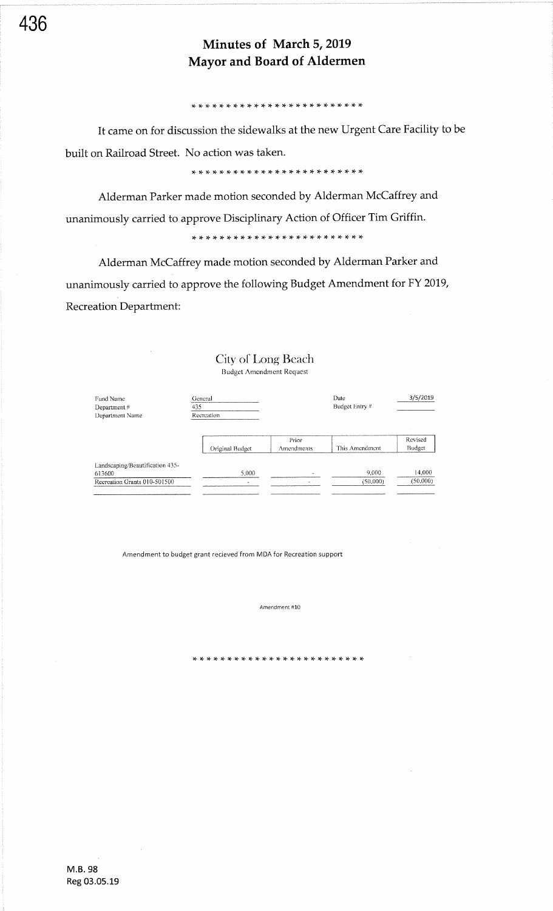#### ,t \* \* !t rt rt \* \* rf :F :t \* \* rF rF rF \* \* rt \* rt \* \* \* :t

It came on for discussion the sidewalks at the new Urgent Care Facility to be built on Railroad Street. No action was taken.

Alderman Parker made motion seconded by Alderman McCaffrey and unanimously carried to approve Disciplinary Action of Officer Tim Griffin.

## \* !F rF rF rg rF rF rF rF \* \* rt rt \* rf :t rF tF \* \* rt :t tf \* \*

Alderman McCaffrey made motion seconded by Alderman Parker and unanimously carried to approve the following Budget Amendment for Fy 2019, Recreation Department:

| Fund Name<br>Department#<br>Department Name                               | General<br>435<br>Recreation |                     | Date<br>Budget Entry # | 3/5/2019           |
|---------------------------------------------------------------------------|------------------------------|---------------------|------------------------|--------------------|
|                                                                           | Original Budget              | Prior<br>Amendments | This Amendment         | Revised<br>Budget  |
| Landscaping/Beautification 435-<br>613600<br>Recreation Grants 010-501500 | 5.000<br>à.                  |                     | 9,000<br>(50,000)      | 14,000<br>(50,000) |

City of Long Beach Budget Amendment Request

Amendment to budget grant recieved from MDA for Recreation support

Amendment #10

r+ rF rF r+ rT \* \* \* \* rF rF rF \* \* \* \* rl \* \* \* rF rF :t rt rt

M.8.98 Reg 03.05.19

436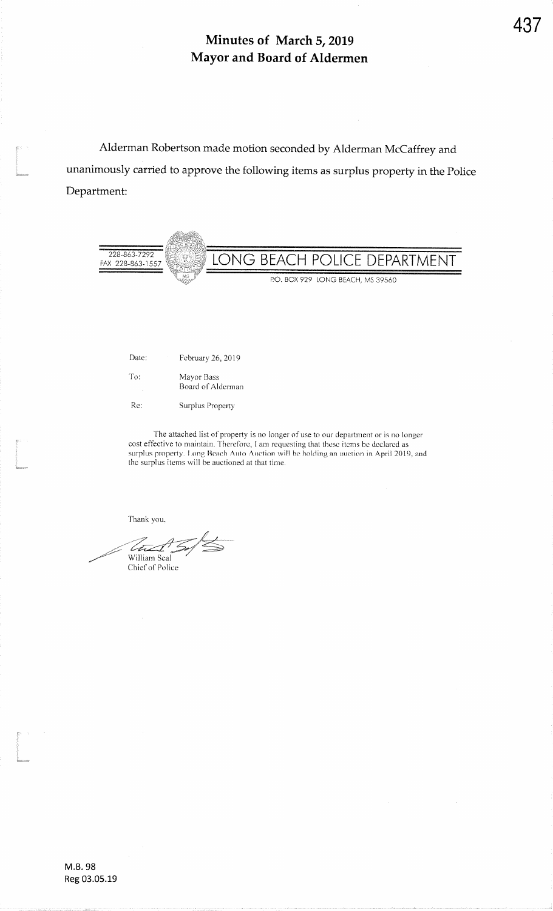Alderman Robertson made motion seconded by Alderman McCaffrey andunanimously carried to approve the following items as surplus property in the PoliceDepartment:



| Date:    | February 26, 2019               |
|----------|---------------------------------|
| To:<br>٠ | Mayor Bass<br>Board of Alderman |
| Re:      | Surplus Property                |

The attached list of property is no longer of use to our department or is no longer cost effective to maintain. Therefore, I am requesting that these items be declared as surplus property. Long Beach Auto Auction will be holding an auction in April 2019, and the surplus items will be auctioned at that time.

Thank you.

:<br>;<br>imanos

.<br>Waxaank

 $\overline{\mathscr{D}}$ tust. William SealChief ol'Police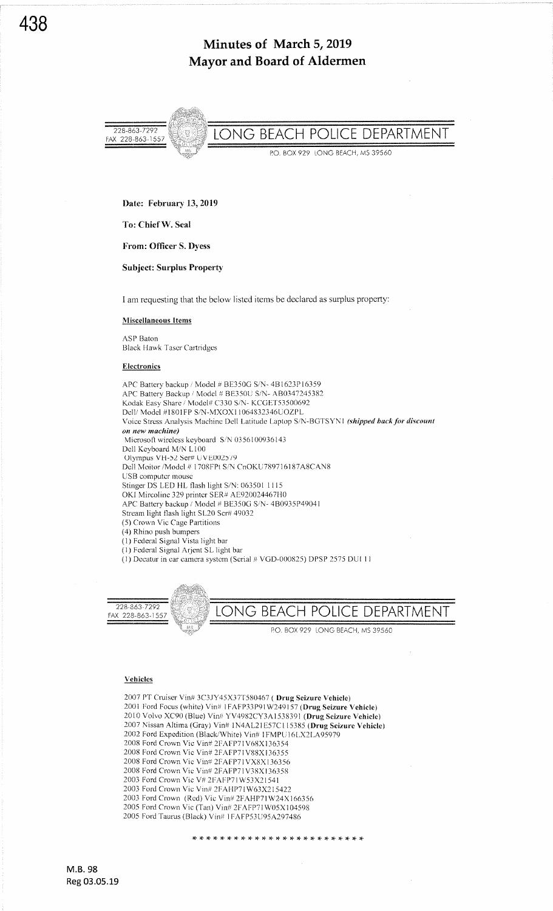

Date: February 13,2019

To: Chief W. Seal

From: Officer S. Dyess

Subject: Surplus Property

I am requesting that the below listed items be declared as surplus property:

Miseellaneous ltems

ASP Baton Black Hawk Tascr Cartridgcs

#### **Electronics**

APC Battery backup / Model # BE350C S/N- 481623P16359 APC Battery Backup / Model # BE350U S/N- AB0347245382 Kodak Easy Sharc / Model# C330 S/N- KCGET53500692 Dell/ Model #1801FP S/N-MXOX11064832346UOZPL Voice Stress Analysis Machine Dell Latitude Laptop S/N-BGTSYN1 (shipped back for discount on new machine) Microsoft wireless keyboard S/N 0356100936143 Dell Keyboard M/N L100 Olympus VH-52 Ser# UVE002579 Dell Moitor/Model # 1708FPt S/N CnOKU789716187A8CAN8 USB computcr mouse Stinger DS LED HL flash light S/N: 063501 1115 OKI Mircolinc 329 printcr SER# AE920024467H0 APC Battery backup / Model # BE350G S/N- 4B0935P49041 Stream light flash light SL20 Scr# 49032 (5) Crown Vic Cage Partitions (4) Rhino push bumpers<br>(1) Federal Signal Vista light bar  $(1)$  Federal Signal Arjent SL light bar (1) Decatur in car camera system (Serial # VGD-000825) DPSP 2575 DUI 11



#### Vehicles

<sup>2007</sup>PT Cruiser Vin# 3C3JY45X37T580467 ( Drug Seizure Vchicle) 2001 Ford Focus (white) Vin# IFAFP33P91W249157 (Drug Seizure Vehicle) 2010 Volvo XC90 (Blue) Vin# YV4982CY3A1538391 (Drug Seizure Vchicle) 2007 Nissan Altima (Gray) Vin# 1N4AL21E57C115385 (Drug Seizure Vehicle) 2002 Ford Expedition (Black/White) Vin# IFMPU16LX2LA95979 2008 Ford Crown Vic Vin# 2FAFP7lV68Xl36354 2008 Ford Crown Vic Vin# 2FAFP71V88Xl36355 2008 Ford Crown Vic Vin# 2FAFP7lVX8Xl36356 2008 Ford Crown Vic Vin# 2FAFP71V38X136358 2003 Ford Crown Vic V# 2FAFPTl W53X2l54l 2003 Ford Crown Vic Vin# 2FAHP71W63X215422 2003 Ford Crown (Rcd) Vic Vin# 2FAHPTl W24X166356 2005 Ford Crown Vic (Tan) Vin# 2FAFP7lW05X <sup>104598</sup> 2005 Ford'Iaurus (Black) Vin# I FAFP53U95A297486

\* \* \* \* rF !T rt \* r(. \* \* ri rf rF rF rF rF rt- \* \* \* \* \* \* \*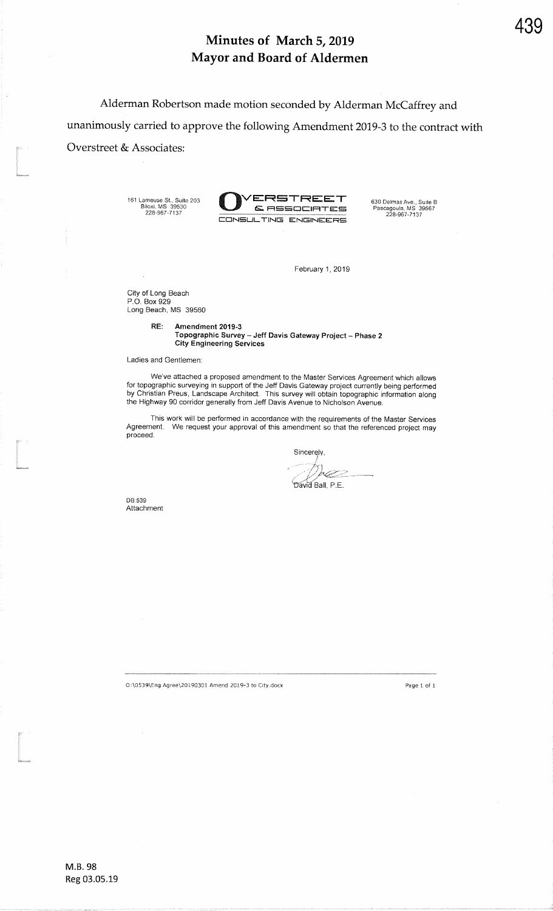Alderman Robertson made motion seconded by Alderman McCaffrey andunanimously carried to approve the following Amendment 2019-3 to the contract with Overstreet & Associates<br>: the Second Second Second Second Second Second Second Second Second Second Second Second Second Second Second Second Second Second Second Second Second Second Second Second Second Second Second Sec

161 Lame{6e St,, Suite 203 Bilon, MS 39530 228-967-7137



February 1, 2019

City of Long Beach P.O. Box 929Long Beacfi, MS 39560

> RE: Amendment 2019-3 Topographic Survey – Jeff Davis Gateway Project – Phase 2 City Engineering Services

Ladies and Gentlemen:

We've attached a proposed amendment to the Master Services Agreement which allows for topographic surveying in support of the Jeff Davis Gateway project currently being performec<br>by Christian Preus, Landscape Architect. This survey will obtain topographic information along<br>the Highway 90 corridor gener

This work will be perforned in accordance with the requirements of the Master ServicesAgreement. We request your approval of this amendment so that the referenced project may<br>proceed.

Sincerely,  $\varnothing$ 

David Ball, P.E.

DB:539Attachment

t<br>1980<br>Stationer

t<br>1

O:\O539\Eng Agre€\20r90301 Amend 2019-3 to City.docx

Page 1 of <sup>I</sup>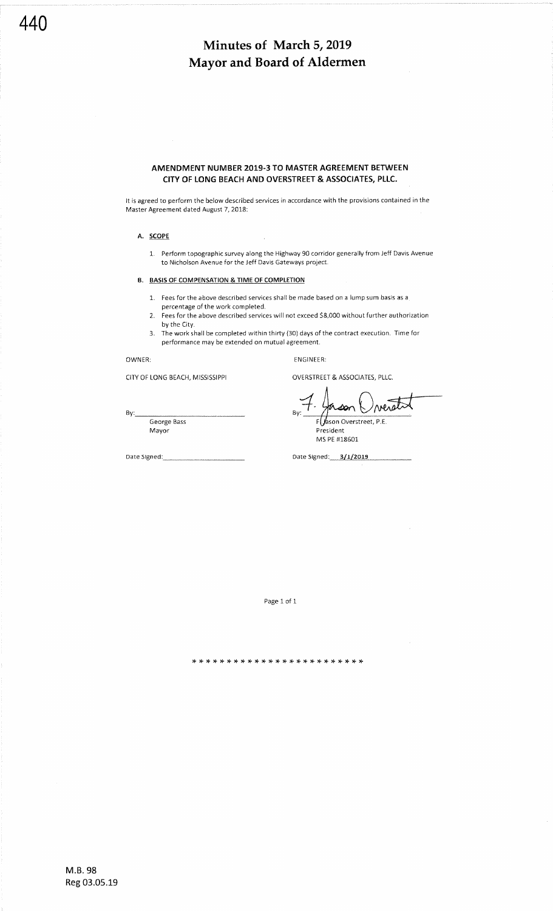## AMENDMENT NUMBER 2019-3 TO MASTER AGREEMENT BETWEEN CITY OF LONG BEACH AND OVERSTREET & ASSOCIATES, PLLC.

It is agreed to perform the below described services in accordance with the provisions contained in the Master Agreement dated August 7, 2018:

#### A. SCOPE

1. Perform topographic survey along the Highway 90 corridor generally from Jeff Davis Avenue to Nicholson Avenue for the Jeff Davis Gateways project.

#### B, BASIS OF COMPENSATION & TIME OF COMPLETION

- 1. Fees for the above described services shall be made based on a lump sum basis as a percentage of the work completed.
- 2. Fees for the above described services will not exceed \$8,000 without further authorization by the City.
- 3. The work shall be completed within thirty (30) days of the contract execution. Time for performance may be extended on mutual agreement.

OWNER:

By:

CITY OF LONG BEACH, MISSISSIPPI

OVFRSTREET & ASSOCIATES, PLLC,

ENGINEER:

neactor son FUason Overstreet, P.E.

George Bass Mayor

President MS PE #18601

Date Signed: 2/1/2019

Page 1 of <sup>1</sup>

,t rt )F rt rF rt rF \* rt r{. rF r+ !F r+ rF \* \* \* \* \* !F \* \* \* \*

M.8.98 Reg 03.05.19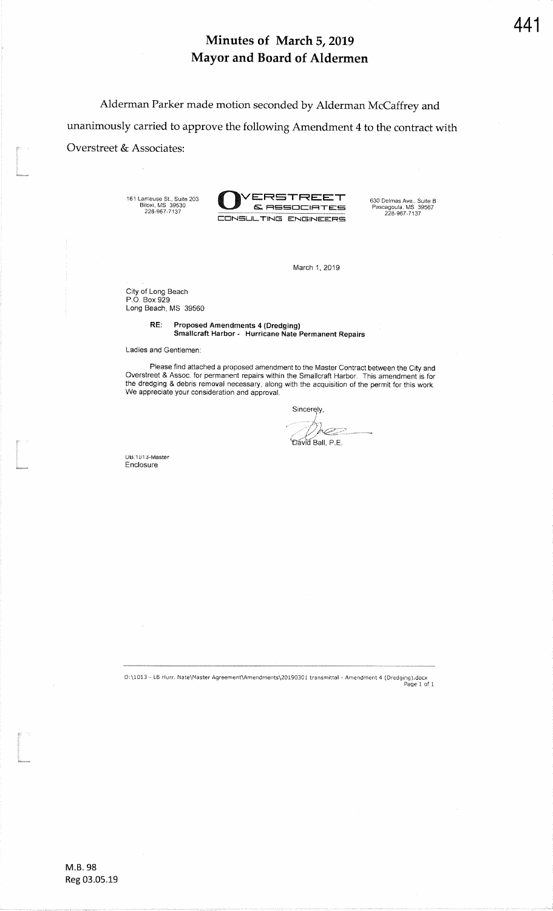Alderman Parker made motion seconded by Alderman McCaffrey andunanimously carried to approve the following Amendment 4 to the contract withOverstreet & Associates<br>: the Second Second Second Second Second Second Second Second Second Second Second Second Second Second Second Second Second Second Second Second Second Second Second Second Second Second Second Sec

161 Lameuse St., Suite 203 Biloxi, MS 39530 228-967-7137



March 1,2019

City of Long Beach P.O. Box 929 Long Beach, MS 39560

> RE: Proposed Amendments 4 (Dredging) Smallcraft Harbor - Hurricane Nate Permanent Repairs

Ladies and Gentlemen:

Please find attached a proposed amendment to the Master Contract between the City and<br>Overstreet & Assoc. for permanent repairs within the Smallcraft Harbor. This amendment is for<br>the dredging & debris removal necessary, a We appreciate your consideration and approval.

Sincerely,

Œ , P.E.

DB:1013-Master**Enclosure** 

I.<br>I

t<br><sup>1683</sup>aanseema

0:\1013 - LB Hurr. Nate\Master Agreement\Amendments\20190301 transmittal - Amendment 4 (Dredging).docx<br>Page 1 of 1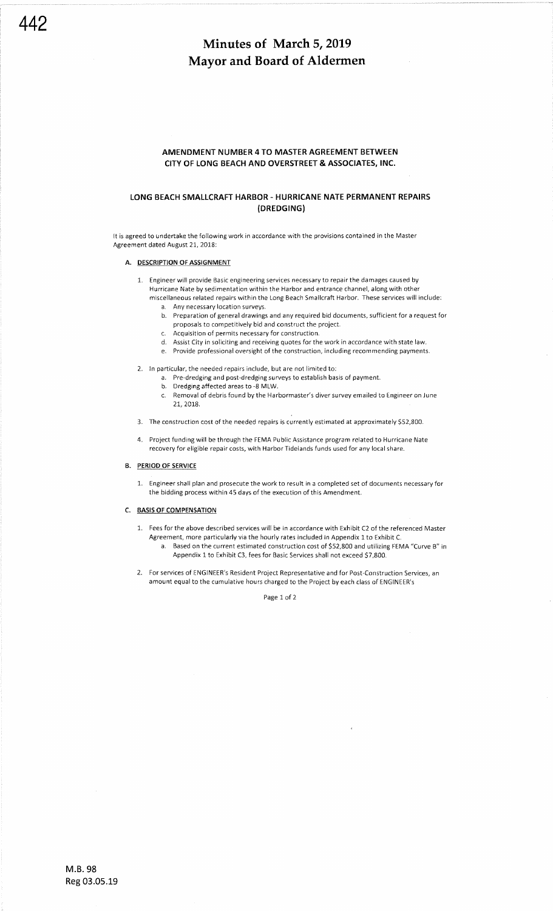#### AMENDMENT NUMBER 4 TO MASTER AGREEMENT BETWEEN CITY OF LONG BEACH AND OVERSTREET & ASSOCIATES, INC.

## LONG BEACH SMALLCRAFT HARBOR. HURRICANE NATE PERMANENT REPAIRS (DREDGING)

It is agreed to undertake the following work in accordance with the provisions contained in the Master Agreement dated August 21, 2018:

#### A. DESCRIPTION OF ASSIGNMENT

- 1. Engineer will provide Basic engineering services necessary to repair the damages caused by Hurricane Nate by sedimentation within the Harbor and entrance channel, along with other miscellaneous related repairs within the Long Beach Smallcraft Harbor. These services will include:
	- a. Any necessary location surveys.
	- b. Preparation of general drawings and any required bid documents, sufficient for a request for proposals to competitively bid and construct the project.
	- c. Acquisition of permits necessary for construction.
	- d. Assist City in soliciting and receiving quotes for the work in accordance with state law.
	- e. Provide professional oversight of the construction, including recommending payments.
- 2. ln particular, the needed repairs include, but are not limited to:
	- a. Pre-dredging and post-dredging surveys to establish basis of payment.
	- b. Dredging affected areas to -8 MLW.
	- c. Removal of debris found by the Harbormaster's diver survey emailed to Engineer on June 21, 2018.
- 3. The construction cost of the needed repairs is currently estimated at approximately \$52,800.
- 4. Project funding will be through the FEMA Public Assistance program related to Hurricane Nate recovery for eligible repair costs, with Harbor Tidelands funds used for any local share.

#### B. PERIOD OF SERVICE

1. Eneineer shall plan and prosecute the work to result in a completed set of documents necessary for the bidding process within 45 days of the execution of this Amendment.

#### C. BASIS OF COMPENSATION

- 1. Fees for the above described services will be in accordance with Fxhibit C2 of the referenced Master Agreement, more particularly via the hourly rates included in Appendix 1to Exhibit C. a. Based on the current estimated construction cost of 552,800 and utilizing FEMA "Curve B" in
	- Appendix 1 to Exhibit C3, fees for Basic Services shall not exceed \$7,800.
- 2. For services of ENGINEER's Resident Project Representative and for Post-Construction 5ervices, an amount equal to the cumulative hours charged to the Project by each class of ENGINEER's

Page 1 of <sup>2</sup>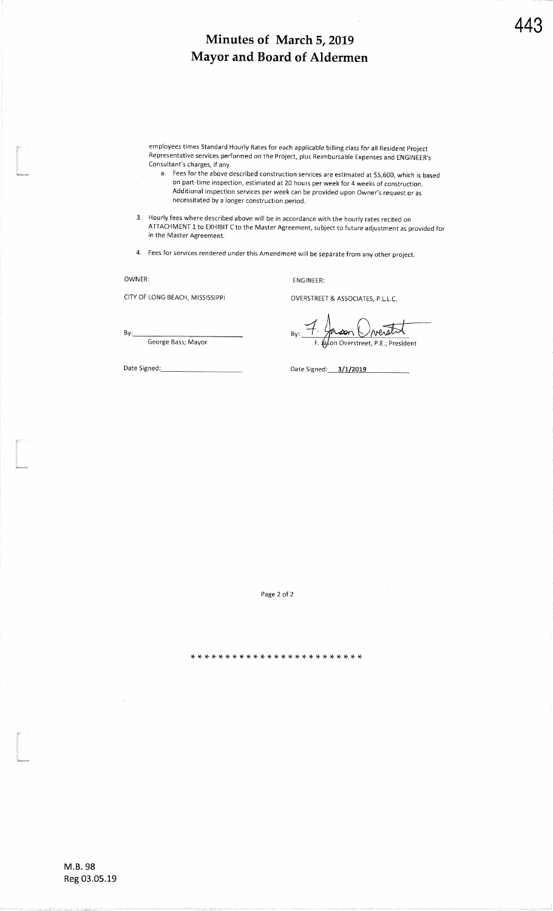employees times Standard Hourly Rates for each applicable billing class for all Resident Project Representative services performed on the Project, plus Reimbursable Expenses and ENGINEER's<br>Consultant's abaseas, if aw Consultant's charges, if any.

a. Fees for the above described construction services are estimated at \$5,600, which is based on part-time inspection, estimated at 20 hours per week for 4 weeks of construction.Additional inspection services per week can be provided upon Owner's request or as necessitated by a longer construction period

3. Hourly fees where described above will be in accordance with the hourly rates recited onATTACHMENT 1 to EXHIBIT C to the Master Agreement, subject to future adjustment as provided for in the Master Agreement.

4. Fees for services rendered under this Amendment will be separate from any other project.

#### OWNER:

By:

Date Signed:

l<br>lan

t<br>1980<br>Geboortes

l<br>L

CITY OF LONG BEACH, MISSISSIPPI

George Bass; Mayor

EN6INEER:

OVERSTR€ET & ASSOCIATES, P.L.L.C.

 $\frac{1}{1}$ con Overated By:Overstreet, P,E.; President F

Date Signed: 3/1/2019

Page 2 of 2

M.8.98Reg 03.05.19

,t :t \* rF :t rt rF rF rF rF rF rF \* rt rT rt rt :t rF :F \* r|. \* \* \*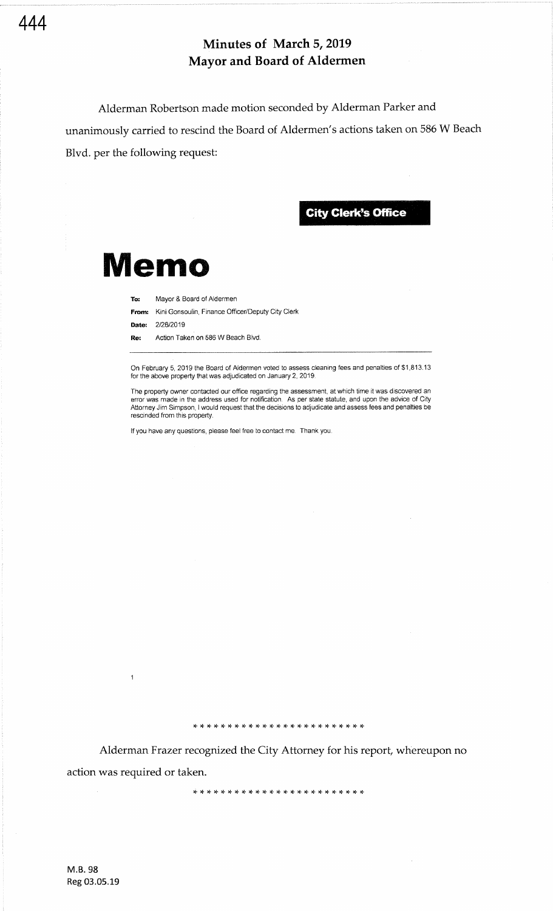Alderman Robertson made motion seconded by Alderman Parker and unanimously carried to rescind the Board of Aldermen's actions taken on 586 W Beach Blvd. per the following request:

**City Clerk's Office** 

# Memo

To: Mayor & Board of Aldermen

**From:** Kini Gonsoulin, Finance Officer/Deputy City Clerk

Date: 2/28/2019

Re: Action Taken on 586 W Beach Blvd.

On February 5, 2019 the Board of Aldermen voted to assess cleaning fees and penalties of \$1,813.13 for the above property that was adjudicated on January 2, 2019.

The property owner contacted our office regarding the assessment, at which time it was discovered an<br>error was made in the address used for notification. As per state statute, and upon the advice of City Attorney Jim Simpson, I would request that the decisions to adjudicate and assess fees and penalties be rescinded from this property.

lf you have any questions, please feel free to contact me. Thank you.

\*,F :F'T,F :F \*,F IF'F'F \*'F :F'T :t \* IF'F'I \* \* \* \*'T

{. :r \* <sup>x</sup>rF \* rT \* rF \* \* \* \* rF \* \* r+ \* rF \* \* \* r} :} rt

Alderman Frazer recognized the City Attorney for his report, whereupon no action was required or taken.

 $\overline{1}$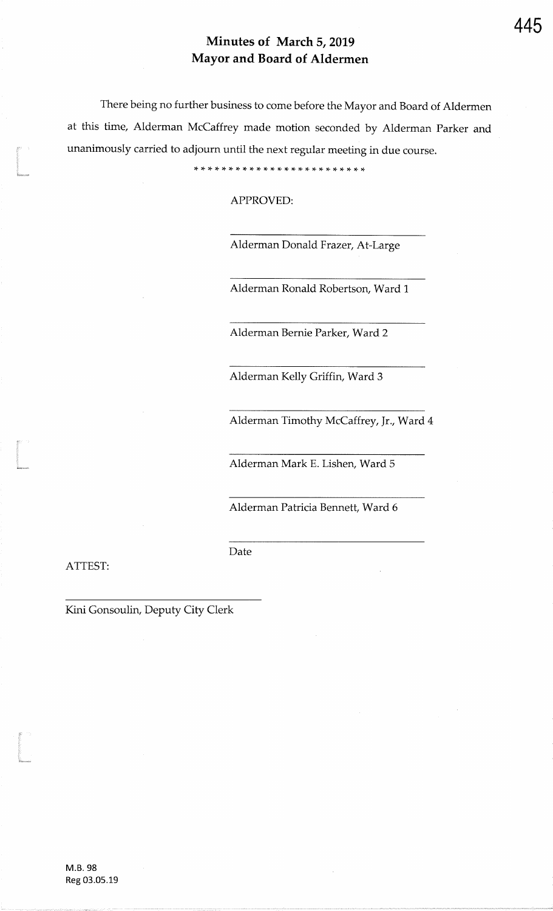There being no further business to come before the Mayor and Board of Aldermenat this time, Alderman McCaffrey made motion seconded by Alderman Parker andunanimously carried to adjourn until the next regular meeting in due course.

\* rl rF \* \* \* rt rF rF \* \* \* rT rT \* \* \* rt :t :T r+ rF rF rF r\$

APPROVED:

Alderman Donald Frazer, At-Large

Alderman Ronald Robertson, Ward 1

Alderman Bernie Parker, Ward2

Alderman Kelly Griffin, Ward 3

Alderman Timothy McCaffrey, Jr., Ward 4

Alderman Mark E. Lishen, Ward 5

Alderman Patricia Bennett, Ward 6

Date

ATTEST

t<br>Ethnicum

i<br>I

.<br>Imam

Kini Gonsoulin, Deputy City Clerk

M.B.98Reg 03.05.19